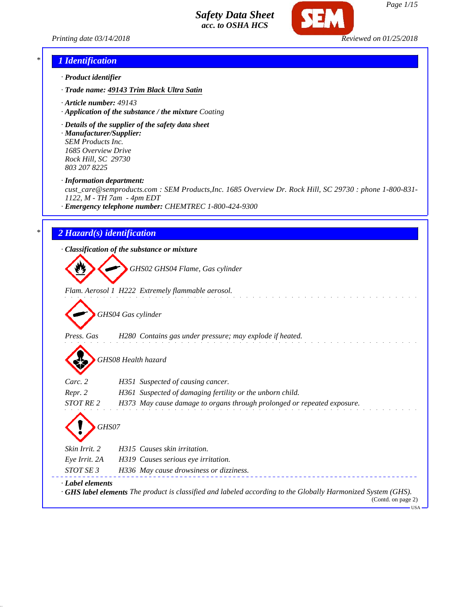*Printing date 03/14/2018 Reviewed on 01/25/2018*



## *\* 1 Identification*

- *· Product identifier*
- *· Trade name: 49143 Trim Black Ultra Satin*
- *· Article number: 49143*
- *· Application of the substance / the mixture Coating*
- *· Details of the supplier of the safety data sheet*
- *· Manufacturer/Supplier: SEM Products Inc. 1685 Overview Drive Rock Hill, SC 29730 803 207 8225*
- *· Information department:*

*cust\_care@semproducts.com : SEM Products,Inc. 1685 Overview Dr. Rock Hill, SC 29730 : phone 1-800-831- 1122, M - TH 7am - 4pm EDT*

*· Emergency telephone number: CHEMTREC 1-800-424-9300*

#### *\* 2 Hazard(s) identification*

*· Classification of the substance or mixture*

*GHS02 GHS04 Flame, Gas cylinder*

*Flam. Aerosol 1 H222 Extremely flammable aerosol.*

*GHS04 Gas cylinder*

*Press. Gas H280 Contains gas under pressure; may explode if heated.*

*GHS08 Health hazard*

| $\boldsymbol{\mathcal{L}}$ |                                                                                                                                           |
|----------------------------|-------------------------------------------------------------------------------------------------------------------------------------------|
| Carc. 2                    | H351 Suspected of causing cancer.                                                                                                         |
| Repr. 2                    | H361 Suspected of damaging fertility or the unborn child.                                                                                 |
| <b>STOT RE2</b>            | H373 May cause damage to organs through prolonged or repeated exposure.                                                                   |
| GHS07<br>Skin Irrit. 2     | H315 Causes skin irritation.                                                                                                              |
| Eye Irrit. 2A              | H319 Causes serious eye irritation.                                                                                                       |
| STOT SE 3                  | H336 May cause drowsiness or dizziness.                                                                                                   |
| Label elements             | $\cdot$ GHS label elements The product is classified and labeled according to the Globally Harmonized System (GHS).<br>(Contd. on page 2) |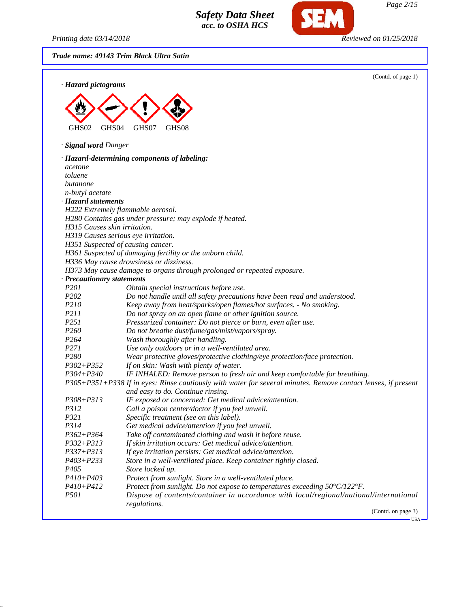*Printing date 03/14/2018 Reviewed on 01/25/2018*

SEM

*Trade name: 49143 Trim Black Ultra Satin*

| · Hazard pictograms                 | (Contd. of page 1)                                                                                            |
|-------------------------------------|---------------------------------------------------------------------------------------------------------------|
|                                     |                                                                                                               |
|                                     |                                                                                                               |
|                                     |                                                                                                               |
| GHS02<br>GHS <sub>04</sub>          | GHS07<br>GHS08                                                                                                |
|                                     |                                                                                                               |
| · Signal word Danger                |                                                                                                               |
|                                     | · Hazard-determining components of labeling:                                                                  |
| acetone                             |                                                                                                               |
| toluene                             |                                                                                                               |
| butanone                            |                                                                                                               |
| n-butyl acetate                     |                                                                                                               |
| · Hazard statements                 |                                                                                                               |
|                                     | H222 Extremely flammable aerosol.                                                                             |
|                                     | H280 Contains gas under pressure; may explode if heated.                                                      |
| H315 Causes skin irritation.        |                                                                                                               |
| H319 Causes serious eye irritation. |                                                                                                               |
| H351 Suspected of causing cancer.   | H361 Suspected of damaging fertility or the unborn child.                                                     |
|                                     | H336 May cause drowsiness or dizziness.                                                                       |
|                                     | H373 May cause damage to organs through prolonged or repeated exposure.                                       |
| · Precautionary statements          |                                                                                                               |
| P201                                | Obtain special instructions before use.                                                                       |
| P202                                | Do not handle until all safety precautions have been read and understood.                                     |
| P210                                | Keep away from heat/sparks/open flames/hot surfaces. - No smoking.                                            |
| P211                                | Do not spray on an open flame or other ignition source.                                                       |
| P <sub>251</sub>                    | Pressurized container: Do not pierce or burn, even after use.                                                 |
| P <sub>260</sub>                    | Do not breathe dust/fume/gas/mist/vapors/spray.                                                               |
| P <sub>264</sub>                    | Wash thoroughly after handling.                                                                               |
| P271                                | Use only outdoors or in a well-ventilated area.                                                               |
| P280                                | Wear protective gloves/protective clothing/eye protection/face protection.                                    |
| $P302 + P352$                       | If on skin: Wash with plenty of water.                                                                        |
| P304+P340                           | IF INHALED: Remove person to fresh air and keep comfortable for breathing.                                    |
|                                     | P305+P351+P338 If in eyes: Rinse cautiously with water for several minutes. Remove contact lenses, if present |
|                                     | and easy to do. Continue rinsing.                                                                             |
| P308+P313                           | IF exposed or concerned: Get medical advice/attention.                                                        |
| P312                                | Call a poison center/doctor if you feel unwell.                                                               |
| P321                                | Specific treatment (see on this label).                                                                       |
| P314                                | Get medical advice/attention if you feel unwell.                                                              |
| $P362 + P364$                       | Take off contaminated clothing and wash it before reuse.                                                      |
| $P332 + P313$                       | If skin irritation occurs: Get medical advice/attention.                                                      |
| $P337 + P313$                       | If eye irritation persists: Get medical advice/attention.                                                     |
| $P403 + P233$                       | Store in a well-ventilated place. Keep container tightly closed.                                              |
| P <sub>405</sub>                    | Store locked up.                                                                                              |
| P410+P403                           | Protect from sunlight. Store in a well-ventilated place.                                                      |
| $P410 + P412$                       | Protect from sunlight. Do not expose to temperatures exceeding 50°C/122°F.                                    |
| <i>P501</i>                         | Dispose of contents/container in accordance with local/regional/national/international                        |
|                                     | regulations.<br>(Contd. on page 3)                                                                            |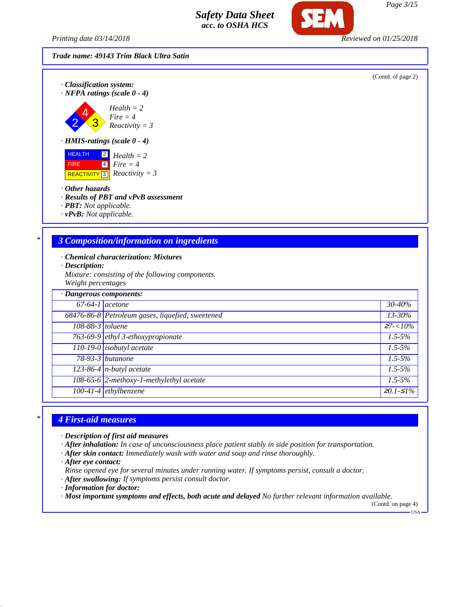*Printing date 03/14/2018 Reviewed on 01/25/2018*



(Contd. of page 2)





*· HMIS-ratings (scale 0 - 4)*

 HEALTH FIRE REACTIVITY 2 4 3 *Health = 2 Fire = 4 Reactivity = 3*

- *· Other hazards*
- *· Results of PBT and vPvB assessment*
- *· PBT: Not applicable.*
- *· vPvB: Not applicable.*

## *\* 3 Composition/information on ingredients*

- *· Chemical characterization: Mixtures*
- *· Description:*
- *Mixture: consisting of the following components. Weight percentages*

| · Dangerous components: |                                                  |             |
|-------------------------|--------------------------------------------------|-------------|
| $67-64-1$ acetone       |                                                  | 30-40%      |
|                         | 68476-86-8 Petroleum gases, liquefied, sweetened | $13 - 30\%$ |
| 108-88-3 toluene        |                                                  | $27 - 10\%$ |
|                         | 763-69-9 ethyl 3-ethoxypropionate                | $1.5 - 5\%$ |
|                         | $110-19-0$ isobutyl acetate                      | $1.5 - 5\%$ |
|                         | 78-93-3 butanone                                 | $1.5 - 5\%$ |
|                         | $123-86-4$ n-butyl acetate                       | $1.5 - 5\%$ |
|                         | 108-65-6 2-methoxy-1-methylethyl acetate         | $1.5 - 5\%$ |
|                         | $100-41-4$ ethylbenzene                          | $≥0.1-S1%$  |

#### *\* 4 First-aid measures*

- *· Description of first aid measures*
- *· After inhalation: In case of unconsciousness place patient stably in side position for transportation.*
- *· After skin contact: Immediately wash with water and soap and rinse thoroughly.*
- *· After eye contact:*
- *Rinse opened eye for several minutes under running water. If symptoms persist, consult a doctor.*
- *· After swallowing: If symptoms persist consult doctor.*
- *· Information for doctor:*
- *· Most important symptoms and effects, both acute and delayed No further relevant information available.*

(Contd. on page 4) USA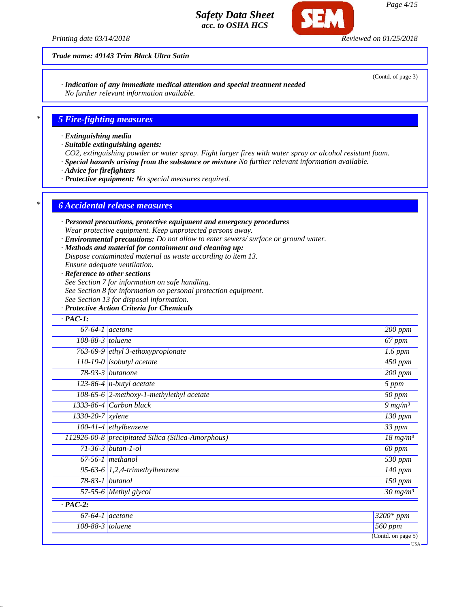*Printing date 03/14/2018 Reviewed on 01/25/2018*

*Trade name: 49143 Trim Black Ultra Satin*

*· Indication of any immediate medical attention and special treatment needed No further relevant information available.*

## *\* 5 Fire-fighting measures*

- *· Extinguishing media*
- *· Suitable extinguishing agents:*
- *CO2, extinguishing powder or water spray. Fight larger fires with water spray or alcohol resistant foam.*
- *· Special hazards arising from the substance or mixture No further relevant information available.*
- *· Advice for firefighters*
- *· Protective equipment: No special measures required.*

#### *\* 6 Accidental release measures*

- *· Personal precautions, protective equipment and emergency procedures Wear protective equipment. Keep unprotected persons away.*
- *· Environmental precautions: Do not allow to enter sewers/ surface or ground water.*
- *· Methods and material for containment and cleaning up:*
- *Dispose contaminated material as waste according to item 13.*
- *Ensure adequate ventilation.*
- *· Reference to other sections*
- *See Section 7 for information on safe handling.*
- *See Section 8 for information on personal protection equipment.*
- *See Section 13 for disposal information.*
- *· Protective Action Criteria for Chemicals*

| $67-64-1$ acetone                 |                                                    | $200$ ppm                                         |
|-----------------------------------|----------------------------------------------------|---------------------------------------------------|
| 108-88-3 toluene                  |                                                    | $\overline{67}$ ppm                               |
| 763-69-9 ethyl 3-ethoxypropionate |                                                    | $1.6$ ppm                                         |
| 110-19-0 <i>isobutyl</i> acetate  |                                                    | $\frac{450}{ppm}$                                 |
| 78-93-3 butanone                  |                                                    | 200 ppm                                           |
| 123-86-4 $n$ -butyl acetate       |                                                    | 5 ppm                                             |
|                                   | 108-65-6 2-methoxy-1-methylethyl acetate           | $\overline{50}$ ppm                               |
| 1333-86-4 Carbon black            |                                                    | $9 \, mg/m3$                                      |
| $1330 - 20 - 7$ xylene            |                                                    | $\overline{1}30$ ppm                              |
| $100-41-4$ ethylbenzene           |                                                    | 33 ppm                                            |
|                                   | 112926-00-8 precipitated Silica (Silica-Amorphous) | $18$ mg/m <sup>3</sup>                            |
| $71 - 36 - 3$ butan-1-ol          |                                                    | $\overline{60}$ ppm                               |
| $67-56-1$ methanol                |                                                    | 530 ppm                                           |
|                                   | 95-63-6 1,2,4-trimethylbenzene                     | $140$ ppm                                         |
| 78-83-1 butanol                   |                                                    | $\overline{150}$ ppm                              |
| 57-55-6 Methyl glycol             |                                                    | $30 \frac{mg}{m^3}$                               |
| $\cdot$ PAC-2:                    |                                                    |                                                   |
| $\overline{67-64-1}$ acetone      |                                                    | 3200* ppm                                         |
| 108-88-3 toluene                  |                                                    | 560 ppm<br>$\overline{(\text{Contd. on page 5})}$ |

(Contd. of page 3)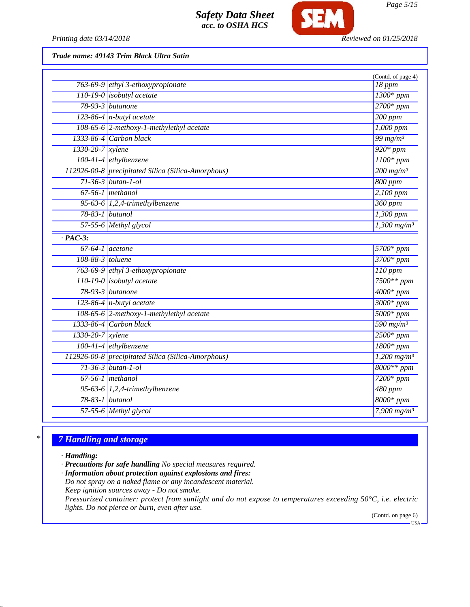

*Printing date 03/14/2018 Reviewed on 01/25/2018*

*Trade name: 49143 Trim Black Ultra Satin*

|                    |                                                    | (Contd. of page 4)           |
|--------------------|----------------------------------------------------|------------------------------|
|                    | 763-69-9 ethyl 3-ethoxypropionate                  | 18 ppm                       |
|                    | 110-19-0 isobutyl acetate                          | $1300*ppm$                   |
|                    | 78-93-3 butanone                                   | $2700*ppm$                   |
|                    | $123-86-4$ n-butyl acetate                         | 200 ppm                      |
|                    | 108-65-6 2-methoxy-1-methylethyl acetate           | $\overline{1,000~ppm}$       |
|                    | 1333-86-4 Carbon black                             | 99 $mg/m^3$                  |
| 1330-20-7 xylene   |                                                    | $920*ppm$                    |
|                    | $100-41-4$ ethylbenzene                            | $1100*$ ppm                  |
|                    | 112926-00-8 precipitated Silica (Silica-Amorphous) | $\frac{200 \text{ mg}}{m^3}$ |
|                    | $71 - 36 - 3$ butan-1-ol                           | 800 ppm                      |
|                    | $67-56-1$ methanol                                 | $2,100$ ppm                  |
|                    | 95-63-6 1,2,4-trimethylbenzene                     | $360$ ppm                    |
|                    | 78-83-1 butanol                                    | 1,300 ppm                    |
|                    | 57-55-6 Methyl glycol                              | $1,300$ mg/m <sup>3</sup>    |
| $\cdot$ PAC-3:     |                                                    |                              |
|                    | $67-64-1$ acetone                                  | $5700*ppm$                   |
| $108-88-3$ toluene |                                                    | $3700*ppm$                   |
|                    | 763-69-9 ethyl 3-ethoxypropionate                  | $110$ ppm                    |
|                    | 110-19-0 isobutyl acetate                          | 7500** ppm                   |
|                    | 78-93-3 butanone                                   | $4000*$ ppm                  |
|                    | $123-86-4$ n-butyl acetate                         | $3000*$ ppm                  |
|                    | 108-65-6 2-methoxy-1-methylethyl acetate           | $5000*$ ppm                  |
|                    | 1333-86-4 Carbon black                             | 590 mg/m <sup>3</sup>        |
| $1330-20-7$ xylene |                                                    | $2500*ppm$                   |
|                    | $100-41-4$ ethylbenzene                            | $1800*ppm$                   |
|                    | 112926-00-8 precipitated Silica (Silica-Amorphous) | $1,200$ mg/m <sup>3</sup>    |
|                    | $71-36-3$ butan-1-ol                               | 8000** ppm                   |
|                    | $67-56-1$ methanol                                 | $7200*ppm$                   |
|                    | 95-63-6 $1,2,4$ -trimethylbenzene                  | 480 ppm                      |
|                    | 78-83-1 butanol                                    | $8000*ppm$                   |
|                    | 57-55-6 Methyl glycol                              | 7,900 $mg/m^3$               |
|                    |                                                    |                              |

# *\* 7 Handling and storage*

- *· Handling:*
- *· Precautions for safe handling No special measures required.*
- *· Information about protection against explosions and fires:*
- *Do not spray on a naked flame or any incandescent material. Keep ignition sources away - Do not smoke.*
- *Pressurized container: protect from sunlight and do not expose to temperatures exceeding 50°C, i.e. electric lights. Do not pierce or burn, even after use.*

(Contd. on page 6) USA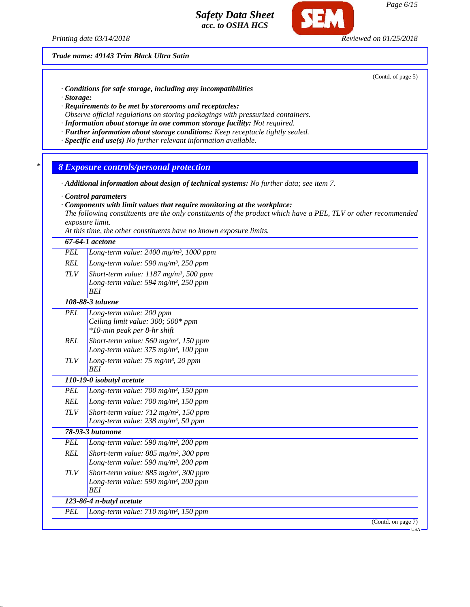*Printing date 03/14/2018 Reviewed on 01/25/2018*

*Trade name: 49143 Trim Black Ultra Satin*

(Contd. of page 5)

- *· Conditions for safe storage, including any incompatibilities*
- *· Storage:*
- *· Requirements to be met by storerooms and receptacles: Observe official regulations on storing packagings with pressurized containers.*
- *· Information about storage in one common storage facility: Not required.*
- *· Further information about storage conditions: Keep receptacle tightly sealed.*
- *· Specific end use(s) No further relevant information available.*
- *\* 8 Exposure controls/personal protection*
- *· Additional information about design of technical systems: No further data; see item 7.*
- *· Control parameters*
- *· Components with limit values that require monitoring at the workplace:*

*The following constituents are the only constituents of the product which have a PEL, TLV or other recommended exposure limit.*

*At this time, the other constituents have no known exposure limits.*

|            | 67-64-1 acetone                                                                                                        |
|------------|------------------------------------------------------------------------------------------------------------------------|
| <b>PEL</b> | Long-term value: 2400 mg/m <sup>3</sup> , 1000 ppm                                                                     |
| <b>REL</b> | Long-term value: 590 mg/m <sup>3</sup> , 250 ppm                                                                       |
| <b>TLV</b> | Short-term value: $1187$ mg/m <sup>3</sup> , 500 ppm<br>Long-term value: 594 mg/m <sup>3</sup> , 250 ppm<br><b>BEI</b> |
|            | 108-88-3 toluene                                                                                                       |
| <b>PEL</b> | Long-term value: 200 ppm<br>Ceiling limit value: 300; 500* ppm<br>*10-min peak per 8-hr shift                          |
| <b>REL</b> | Short-term value: $560$ mg/m <sup>3</sup> , 150 ppm<br>Long-term value: 375 mg/m <sup>3</sup> , 100 ppm                |
| <b>TLV</b> | Long-term value: $75 \text{ mg/m}^3$ , 20 ppm<br><b>BEI</b>                                                            |
|            | 110-19-0 isobutyl acetate                                                                                              |
| <b>PEL</b> | Long-term value: $700 \text{ mg/m}^3$ , 150 ppm                                                                        |
| <b>REL</b> | Long-term value: $700$ mg/m <sup>3</sup> , 150 ppm                                                                     |
| <b>TLV</b> | Short-term value: 712 mg/m <sup>3</sup> , 150 ppm<br>Long-term value: 238 mg/m <sup>3</sup> , 50 ppm                   |
|            | <b>78-93-3 butanone</b>                                                                                                |
| <b>PEL</b> | Long-term value: 590 mg/m <sup>3</sup> , 200 ppm                                                                       |
| <b>REL</b> | Short-term value: $885$ mg/m <sup>3</sup> , 300 ppm<br>Long-term value: 590 mg/m <sup>3</sup> , 200 ppm                |
| <b>TLV</b> | Short-term value: $885$ mg/m <sup>3</sup> , 300 ppm<br>Long-term value: 590 mg/m <sup>3</sup> , 200 ppm<br><b>BEI</b>  |
|            | 123-86-4 n-butyl acetate                                                                                               |
| <b>PEL</b> | Long-term value: $710$ mg/m <sup>3</sup> , 150 ppm                                                                     |
|            | (Contd. on page 7)                                                                                                     |
|            | $USA -$                                                                                                                |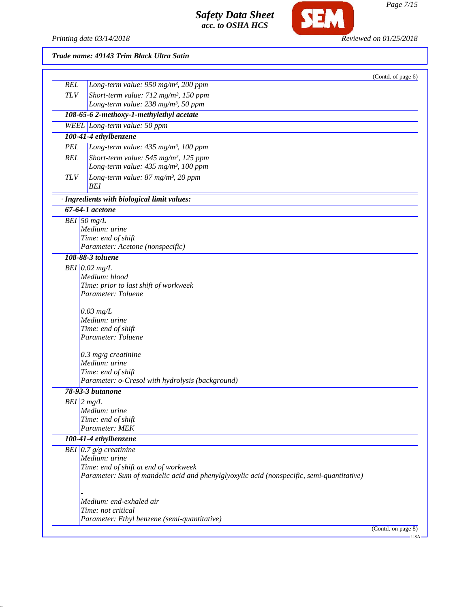

*Printing date 03/14/2018 Reviewed on 01/25/2018*

## *Trade name: 49143 Trim Black Ultra Satin*

|            |                                                                                           | (Contd. of page 6) |
|------------|-------------------------------------------------------------------------------------------|--------------------|
| <b>REL</b> | Long-term value: 950 mg/m <sup>3</sup> , 200 ppm                                          |                    |
| TLV        | Short-term value: 712 mg/m <sup>3</sup> , 150 ppm                                         |                    |
|            | Long-term value: 238 mg/m <sup>3</sup> , 50 ppm                                           |                    |
|            | 108-65-6 2-methoxy-1-methylethyl acetate                                                  |                    |
|            | WEEL Long-term value: 50 ppm                                                              |                    |
|            | 100-41-4 ethylbenzene                                                                     |                    |
| <b>PEL</b> | Long-term value: 435 mg/m <sup>3</sup> , 100 ppm                                          |                    |
| <b>REL</b> | Short-term value: 545 mg/m <sup>3</sup> , 125 ppm                                         |                    |
|            | Long-term value: 435 mg/m <sup>3</sup> , 100 ppm                                          |                    |
| <b>TLV</b> | Long-term value: 87 mg/m <sup>3</sup> , 20 ppm                                            |                    |
|            | BEI                                                                                       |                    |
|            | · Ingredients with biological limit values:                                               |                    |
|            | 67-64-1 acetone                                                                           |                    |
|            | $BEI$ 50 mg/L                                                                             |                    |
|            | Medium: urine                                                                             |                    |
|            | Time: end of shift                                                                        |                    |
|            | Parameter: Acetone (nonspecific)                                                          |                    |
|            | 108-88-3 toluene                                                                          |                    |
|            | BEI $0.02$ mg/L                                                                           |                    |
|            | Medium: blood                                                                             |                    |
|            | Time: prior to last shift of workweek                                                     |                    |
|            | Parameter: Toluene                                                                        |                    |
|            | $0.03$ mg/L                                                                               |                    |
|            | Medium: urine                                                                             |                    |
|            | Time: end of shift                                                                        |                    |
|            | Parameter: Toluene                                                                        |                    |
|            | $0.3$ mg/g creatinine                                                                     |                    |
|            | Medium: urine                                                                             |                    |
|            | Time: end of shift                                                                        |                    |
|            | Parameter: o-Cresol with hydrolysis (background)                                          |                    |
|            | 78-93-3 butanone                                                                          |                    |
|            | $BEI$ 2 mg/L                                                                              |                    |
|            | Medium: urine                                                                             |                    |
|            | Time: end of shift                                                                        |                    |
|            | Parameter: MEK                                                                            |                    |
|            | 100-41-4 ethylbenzene                                                                     |                    |
|            | BEI $0.7 g/g$ creatinine                                                                  |                    |
|            | Medium: urine                                                                             |                    |
|            | Time: end of shift at end of workweek                                                     |                    |
|            | Parameter: Sum of mandelic acid and phenylglyoxylic acid (nonspecific, semi-quantitative) |                    |
|            |                                                                                           |                    |
|            | Medium: end-exhaled air                                                                   |                    |
|            | Time: not critical                                                                        |                    |
|            |                                                                                           |                    |
|            | Parameter: Ethyl benzene (semi-quantitative)                                              |                    |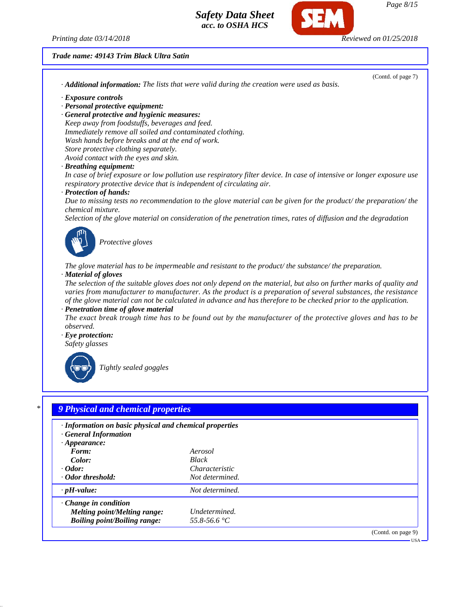*Printing date 03/14/2018 Reviewed on 01/25/2018*

#### *Trade name: 49143 Trim Black Ultra Satin*

(Contd. of page 7) *· Additional information: The lists that were valid during the creation were used as basis. · Exposure controls · Personal protective equipment: · General protective and hygienic measures: Keep away from foodstuffs, beverages and feed. Immediately remove all soiled and contaminated clothing. Wash hands before breaks and at the end of work. Store protective clothing separately. Avoid contact with the eyes and skin. · Breathing equipment: In case of brief exposure or low pollution use respiratory filter device. In case of intensive or longer exposure use respiratory protective device that is independent of circulating air. · Protection of hands: Due to missing tests no recommendation to the glove material can be given for the product/ the preparation/ the chemical mixture. Selection of the glove material on consideration of the penetration times, rates of diffusion and the degradation Protective gloves The glove material has to be impermeable and resistant to the product/ the substance/ the preparation. · Material of gloves The selection of the suitable gloves does not only depend on the material, but also on further marks of quality and varies from manufacturer to manufacturer. As the product is a preparation of several substances, the resistance of the glove material can not be calculated in advance and has therefore to be checked prior to the application. · Penetration time of glove material The exact break trough time has to be found out by the manufacturer of the protective gloves and has to be observed. · Eye protection: Safety glasses Tightly sealed goggles*

| í<br>٦<br>× |
|-------------|
|             |

### *\* 9 Physical and chemical properties*

| · Information on basic physical and chemical properties<br>· General Information<br>$\cdot$ Appearance:   |                                                                     |                    |
|-----------------------------------------------------------------------------------------------------------|---------------------------------------------------------------------|--------------------|
| Form:<br>Color:<br>$\cdot$ Odor:<br>· Odor threshold:                                                     | Aerosol<br><b>Black</b><br><i>Characteristic</i><br>Not determined. |                    |
| $\cdot$ pH-value:                                                                                         | Not determined.                                                     |                    |
| $\cdot$ Change in condition<br><b>Melting point/Melting range:</b><br><b>Boiling point/Boiling range:</b> | Undetermined.<br>55.8-56.6 °C                                       |                    |
|                                                                                                           |                                                                     | (Contd. on page 9) |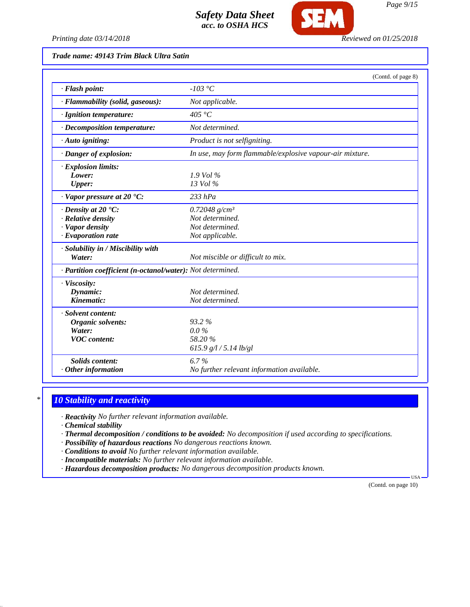

*Printing date 03/14/2018 Reviewed on 01/25/2018*

*Trade name: 49143 Trim Black Ultra Satin*

|                                                                                                             | (Contd. of page 8)                                                        |
|-------------------------------------------------------------------------------------------------------------|---------------------------------------------------------------------------|
| · Flash point:                                                                                              | $-103$ °C                                                                 |
| · Flammability (solid, gaseous):                                                                            | Not applicable.                                                           |
| · Ignition temperature:                                                                                     | 405 °C                                                                    |
| · Decomposition temperature:                                                                                | Not determined.                                                           |
| $\cdot$ Auto igniting:                                                                                      | Product is not selfigniting.                                              |
| · Danger of explosion:                                                                                      | In use, may form flammable/explosive vapour-air mixture.                  |
| · Explosion limits:<br>Lower:<br>Upper:                                                                     | $1.9$ Vol %<br>13 Vol %                                                   |
| · Vapor pressure at 20 °C:                                                                                  | $233$ hPa                                                                 |
| $\cdot$ Density at 20 $\cdot$ C:<br>$\cdot$ Relative density<br>· Vapor density<br>$\cdot$ Evaporation rate | 0.72048 $g/cm^3$<br>Not determined.<br>Not determined.<br>Not applicable. |
| · Solubility in / Miscibility with<br>Water:                                                                | Not miscible or difficult to mix.                                         |
| · Partition coefficient (n-octanol/water): Not determined.                                                  |                                                                           |
| · Viscosity:<br>Dynamic:<br>Kinematic:                                                                      | Not determined.<br>Not determined.                                        |
| · Solvent content:<br>Organic solvents:<br>Water:<br><b>VOC</b> content:                                    | 93.2%<br>$0.0\%$<br>58.20%<br>615.9 g/l / 5.14 lb/gl                      |
| <b>Solids content:</b><br>$·$ Other information                                                             | $6.7\%$<br>No further relevant information available.                     |

## *\* 10 Stability and reactivity*

*· Reactivity No further relevant information available.*

*· Chemical stability*

*· Thermal decomposition / conditions to be avoided: No decomposition if used according to specifications.*

*· Possibility of hazardous reactions No dangerous reactions known.*

*· Conditions to avoid No further relevant information available.*

- *· Incompatible materials: No further relevant information available.*
- *· Hazardous decomposition products: No dangerous decomposition products known.*

(Contd. on page 10)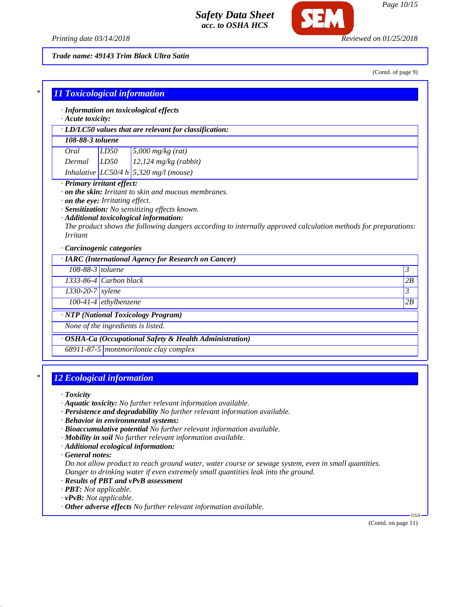

*Printing date 03/14/2018 Reviewed on 01/25/2018*

*Trade name: 49143 Trim Black Ultra Satin*

(Contd. of page 9)

|                  | · LD/LC50 values that are relevant for classification:                                                                                                                               |         |
|------------------|--------------------------------------------------------------------------------------------------------------------------------------------------------------------------------------|---------|
| 108-88-3 toluene |                                                                                                                                                                                      |         |
| Oral             | LD50<br>$5,000$ mg/kg (rat)                                                                                                                                                          |         |
| Dermal           | LD50<br>$12,124$ mg/kg (rabbit)                                                                                                                                                      |         |
|                  | Inhalative LC50/4 h 5,320 mg/l (mouse)                                                                                                                                               |         |
|                  | $\cdot$ on the eye: Irritating effect.<br>· Sensitization: No sensitizing effects known.                                                                                             |         |
| <i>Irritant</i>  | · Additional toxicological information:<br>The product shows the following dangers according to internally approved calculation methods for preparations:<br>Carcinogenic categories |         |
|                  | · IARC (International Agency for Research on Cancer)                                                                                                                                 |         |
|                  | 108-88-3 toluene                                                                                                                                                                     | 3       |
|                  | 1333-86-4 Carbon black                                                                                                                                                               | 2B      |
| 1330-20-7 xylene |                                                                                                                                                                                      |         |
|                  | $100-41-4$ ethylbenzene                                                                                                                                                              |         |
|                  | · NTP (National Toxicology Program)                                                                                                                                                  | 3<br>2B |

# *\* 12 Ecological information*

*· Toxicity*

- *· Aquatic toxicity: No further relevant information available.*
- *· Persistence and degradability No further relevant information available.*
- *· Behavior in environmental systems:*
- *· Bioaccumulative potential No further relevant information available.*
- *· Mobility in soil No further relevant information available.*
- *· Additional ecological information:*

*· General notes:*

*Do not allow product to reach ground water, water course or sewage system, even in small quantities. Danger to drinking water if even extremely small quantities leak into the ground.*

- *· Results of PBT and vPvB assessment*
- *· PBT: Not applicable.*
- *· vPvB: Not applicable.*
- *· Other adverse effects No further relevant information available.*

(Contd. on page 11)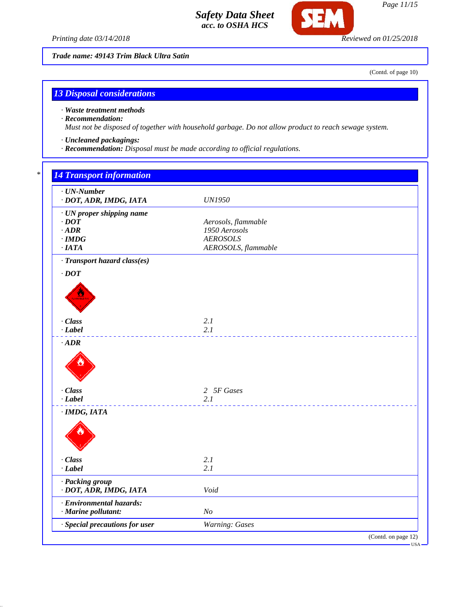*Printing date 03/14/2018 Reviewed on 01/25/2018*

**SFI** 

*Trade name: 49143 Trim Black Ultra Satin*

(Contd. of page 10)

*Page 11/15*

# *13 Disposal considerations*

*· Waste treatment methods*

#### *· Recommendation:*

*Must not be disposed of together with household garbage. Do not allow product to reach sewage system.*

- *· Uncleaned packagings:*
- *· Recommendation: Disposal must be made according to official regulations.*

| $\cdot$ UN-Number<br>· DOT, ADR, IMDG, IATA                                      | <b>UN1950</b>                                                                  |
|----------------------------------------------------------------------------------|--------------------------------------------------------------------------------|
| · UN proper shipping name<br>$\cdot$ DOT<br>$\cdot$ ADR<br>$\cdot$ IMDG<br>·IATA | Aerosols, flammable<br>1950 Aerosols<br><b>AEROSOLS</b><br>AEROSOLS, flammable |
| · Transport hazard class(es)                                                     |                                                                                |
| $\cdot$ DOT                                                                      |                                                                                |
| · Class<br>$-Label$                                                              | 2.1<br>2.1                                                                     |
| $\cdot$ ADR                                                                      |                                                                                |
| · Class<br>$-Label$                                                              | 2 5F Gases<br>2.1                                                              |
| $·$ IMDG, IATA                                                                   |                                                                                |
| · Class<br>$-Label$                                                              | 2.1<br>2.1                                                                     |
| · Packing group<br>· DOT, ADR, IMDG, IATA                                        | Void                                                                           |
| · Environmental hazards:<br>· Marine pollutant:                                  | N <sub>O</sub>                                                                 |
| · Special precautions for user                                                   | Warning: Gases                                                                 |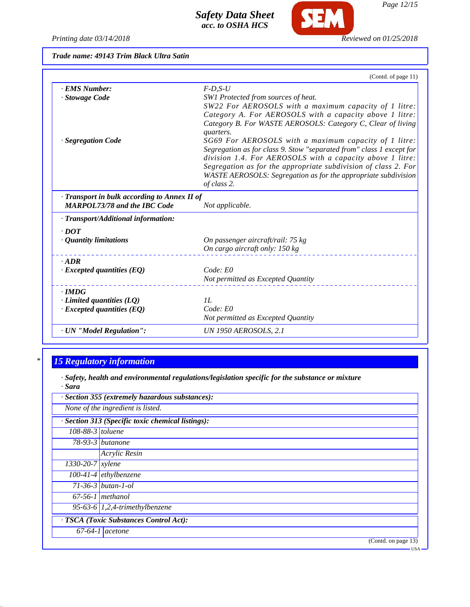*Printing date 03/14/2018 Reviewed on 01/25/2018*

**SEM** 

*Trade name: 49143 Trim Black Ultra Satin*

|                                            | (Contd. of page 11)                                                      |
|--------------------------------------------|--------------------------------------------------------------------------|
| <b>EMS Number:</b>                         | $F$ -D,S-U                                                               |
| · Stowage Code                             | SW1 Protected from sources of heat.                                      |
|                                            | SW22 For AEROSOLS with a maximum capacity of 1 litre:                    |
|                                            | Category A. For AEROSOLS with a capacity above 1 litre:                  |
|                                            | Category B. For WASTE AEROSOLS: Category C, Clear of living<br>quarters. |
| · Segregation Code                         | SG69 For AEROSOLS with a maximum capacity of 1 litre:                    |
|                                            | Segregation as for class 9. Stow "separated from" class 1 except for     |
|                                            | division 1.4. For AEROSOLS with a capacity above 1 litre:                |
|                                            | Segregation as for the appropriate subdivision of class 2. For           |
|                                            | WASTE AEROSOLS: Segregation as for the appropriate subdivision           |
|                                            | of class 2.                                                              |
| Transport in bulk according to Annex II of |                                                                          |
| <b>MARPOL73/78 and the IBC Code</b>        | Not applicable.                                                          |
| · Transport/Additional information:        |                                                                          |
| $\cdot$ DOT                                |                                                                          |
| · Quantity limitations                     | On passenger aircraft/rail: 75 kg                                        |
|                                            | On cargo aircraft only: 150 kg                                           |
| $-ADR$                                     |                                                                          |
| $\cdot$ Excepted quantities (EQ)           | Code: E0                                                                 |
|                                            | Not permitted as Excepted Quantity                                       |
| $\cdot$ IMDG                               |                                                                          |
| $\cdot$ Limited quantities (LQ)            | IL                                                                       |
| $\cdot$ Excepted quantities (EQ)           | Code: E0                                                                 |
|                                            | Not permitted as Excepted Quantity                                       |
| · UN "Model Regulation":                   | <b>UN 1950 AEROSOLS, 2.1</b>                                             |

# *\* 15 Regulatory information*

*· Safety, health and environmental regulations/legislation specific for the substance or mixture · Sara*

| · Section 355 (extremely hazardous substances):   |                                   |  |
|---------------------------------------------------|-----------------------------------|--|
| None of the ingredient is listed.                 |                                   |  |
| · Section 313 (Specific toxic chemical listings): |                                   |  |
| 108-88-3 toluene                                  |                                   |  |
|                                                   | $78-93-3$ butanone                |  |
|                                                   | Acrylic Resin                     |  |
| $1330 - 20 - 7$ <i>xylene</i>                     |                                   |  |
|                                                   | $100-41-4$ ethylbenzene           |  |
|                                                   | $71 - 36 - 3$ butan-1-ol          |  |
|                                                   | $67-56-1$ methanol                |  |
|                                                   | 95-63-6 $1,2,4$ -trimethylbenzene |  |
| · TSCA (Toxic Substances Control Act):            |                                   |  |
|                                                   | $\overline{67-64-1}$ acetone      |  |
|                                                   | (Contd. on page 13)               |  |

*Page 12/15*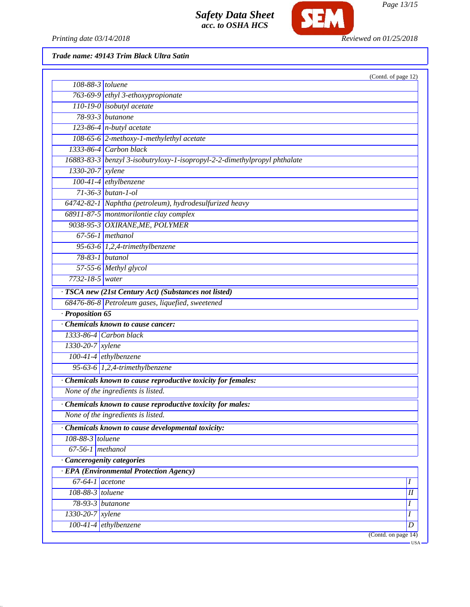

*Page 13/15*

*Printing date 03/14/2018 Reviewed on 01/25/2018*

*Trade name: 49143 Trim Black Ultra Satin*

|                                |                                                                           | (Contd. of page 12) |
|--------------------------------|---------------------------------------------------------------------------|---------------------|
| $\overline{108}$ -88-3 toluene |                                                                           |                     |
|                                | 763-69-9 ethyl 3-ethoxypropionate                                         |                     |
|                                | $110-19-0$ isobutyl acetate                                               |                     |
|                                | 78-93-3 <i>butanone</i>                                                   |                     |
|                                | $\overline{123-86-4}$ n-butyl acetate                                     |                     |
|                                | 108-65-6 2-methoxy-1-methylethyl acetate                                  |                     |
|                                | 1333-86-4 Carbon black                                                    |                     |
|                                | 16883-83-3 benzyl 3-isobutryloxy-1-isopropyl-2-2-dimethylpropyl phthalate |                     |
| $1330-20-7$ xylene             |                                                                           |                     |
|                                | 100-41-4 ethylbenzene                                                     |                     |
|                                | $71 - 36 - 3$ butan-1-ol                                                  |                     |
|                                | 64742-82-1 Naphtha (petroleum), hydrodesulfurized heavy                   |                     |
|                                | 68911-87-5 montmorilontie clay complex                                    |                     |
|                                | 9038-95-3 OXIRANE, ME, POLYMER                                            |                     |
|                                | $67-56-1$ methanol                                                        |                     |
|                                | 95-63-6 $1,2,4$ -trimethylbenzene                                         |                     |
|                                | 78-83-1 butanol                                                           |                     |
|                                | 57-55-6 Methyl glycol                                                     |                     |
| 7732-18-5 water                |                                                                           |                     |
|                                | · TSCA new (21st Century Act) (Substances not listed)                     |                     |
|                                | 68476-86-8 Petroleum gases, liquefied, sweetened                          |                     |
| $\cdot$ Proposition 65         |                                                                           |                     |
|                                | Chemicals known to cause cancer:                                          |                     |
|                                | 1333-86-4 Carbon black                                                    |                     |
| 1330-20-7 xylene               |                                                                           |                     |
|                                | 100-41-4 ethylbenzene                                                     |                     |
|                                | 95-63-6 1,2,4-trimethylbenzene                                            |                     |
|                                | · Chemicals known to cause reproductive toxicity for females:             |                     |
|                                | None of the ingredients is listed.                                        |                     |
|                                | Chemicals known to cause reproductive toxicity for males:                 |                     |
|                                | None of the ingredients is listed.                                        |                     |
|                                | · Chemicals known to cause developmental toxicity:                        |                     |
| 108-88-3 toluene               |                                                                           |                     |
| $67-56-1$ methanol             |                                                                           |                     |
|                                | · Cancerogenity categories                                                |                     |
|                                | <b>EPA</b> (Environmental Protection Agency)                              |                     |
| $67-64-1$ acetone              |                                                                           | Ι                   |
| 108-88-3 toluene               |                                                                           | $I\!I$              |
|                                | 78-93-3 butanone                                                          | I                   |
| $1330 - 20 - 7$ xylene         |                                                                           | I                   |
|                                | $100-41-4$ ethylbenzene                                                   | $\boldsymbol{D}$    |
|                                |                                                                           | (Contd. on page 14) |
|                                |                                                                           | <b>USA</b>          |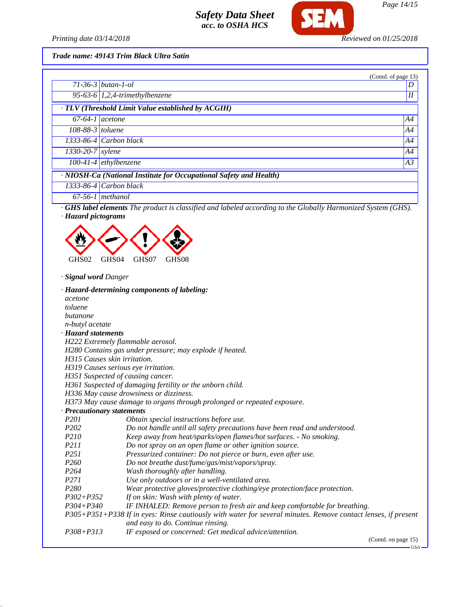

*Printing date 03/14/2018 Reviewed on 01/25/2018*

*Trade name: 49143 Trim Black Ultra Satin*

|                        |                                                                                                                    | (Contd. of page 13) |
|------------------------|--------------------------------------------------------------------------------------------------------------------|---------------------|
|                        | $71 - 36 - 3$ butan-1-ol                                                                                           | D                   |
|                        | 95-63-6 $1,2,4$ -trimethylbenzene                                                                                  | $I\!I$              |
|                        | · TLV (Threshold Limit Value established by ACGIH)                                                                 |                     |
| $67-64-1$ acetone      |                                                                                                                    | A4                  |
| $108-88-3$ toluene     |                                                                                                                    | A4                  |
|                        | 1333-86-4 Carbon black                                                                                             | A4                  |
| $1330 - 20 - 7$ xylene |                                                                                                                    | A4                  |
|                        | $100-41-4$ ethylbenzene                                                                                            | A3                  |
|                        | · NIOSH-Ca (National Institute for Occupational Safety and Health)                                                 |                     |
|                        | 1333-86-4 Carbon black                                                                                             |                     |
|                        | $67-56-1$ methanol                                                                                                 |                     |
| · Hazard pictograms    | <b>GHS label elements</b> The product is classified and labeled according to the Globally Harmonized System (GHS). |                     |



*· Signal word Danger*

|                                     | · Hazard-determining components of labeling:                                                                  |
|-------------------------------------|---------------------------------------------------------------------------------------------------------------|
| acetone                             |                                                                                                               |
| toluene                             |                                                                                                               |
| butanone                            |                                                                                                               |
| <i>n-butyl</i> acetate              |                                                                                                               |
| · Hazard statements                 |                                                                                                               |
| H222 Extremely flammable aerosol.   |                                                                                                               |
|                                     | H280 Contains gas under pressure; may explode if heated.                                                      |
| H315 Causes skin irritation.        |                                                                                                               |
| H319 Causes serious eye irritation. |                                                                                                               |
| H351 Suspected of causing cancer.   |                                                                                                               |
|                                     | H361 Suspected of damaging fertility or the unborn child.                                                     |
|                                     | H336 May cause drowsiness or dizziness.                                                                       |
|                                     | H373 May cause damage to organs through prolonged or repeated exposure.                                       |
| · Precautionary statements          |                                                                                                               |
| P <sub>201</sub>                    | Obtain special instructions before use.                                                                       |
| P <sub>202</sub>                    | Do not handle until all safety precautions have been read and understood.                                     |
| <i>P210</i>                         | Keep away from heat/sparks/open flames/hot surfaces. - No smoking.                                            |
| <i>P211</i>                         | Do not spray on an open flame or other ignition source.                                                       |
| P <sub>251</sub>                    | Pressurized container: Do not pierce or burn, even after use.                                                 |
| P <sub>260</sub>                    | Do not breathe dust/fume/gas/mist/vapors/spray.                                                               |
| P <sub>264</sub>                    | Wash thoroughly after handling.                                                                               |
| P <sub>271</sub>                    | Use only outdoors or in a well-ventilated area.                                                               |
| P <sub>280</sub>                    | Wear protective gloves/protective clothing/eye protection/face protection.                                    |
| $P302 + P352$                       | If on skin: Wash with plenty of water.                                                                        |
| $P304 + P340$                       | IF INHALED: Remove person to fresh air and keep comfortable for breathing.                                    |
|                                     | P305+P351+P338 If in eyes: Rinse cautiously with water for several minutes. Remove contact lenses, if present |
|                                     | and easy to do. Continue rinsing.                                                                             |
| $P308 + P313$                       | IF exposed or concerned: Get medical advice/attention.                                                        |

(Contd. on page 15)

 $-<sub>USA</sub>$